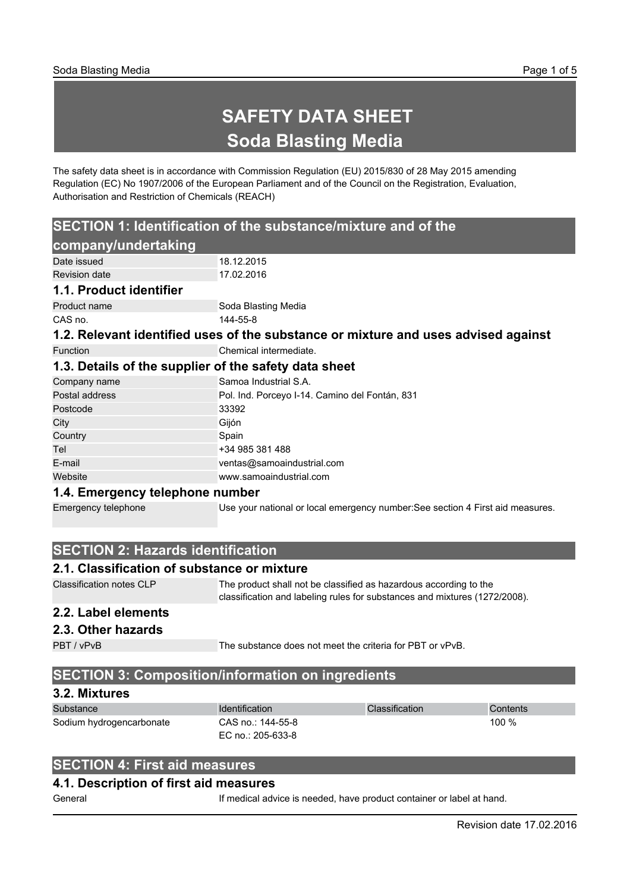# **SAFETY DATA SHEET Soda Blasting Media**

The safety data sheet is in accordance with Commission Regulation (EU) 2015/830 of 28 May 2015 amending Regulation (EC) No 1907/2006 of the European Parliament and of the Council on the Registration, Evaluation, Authorisation and Restriction of Chemicals (REACH)

## **SECTION 1: Identification of the substance/mixture and of the**

| company/undertaking                                                                |                                                                                |  |
|------------------------------------------------------------------------------------|--------------------------------------------------------------------------------|--|
| Date issued                                                                        | 18.12.2015                                                                     |  |
| <b>Revision date</b>                                                               | 17.02.2016                                                                     |  |
| 1.1. Product identifier                                                            |                                                                                |  |
| Product name                                                                       | Soda Blasting Media                                                            |  |
| CAS no.                                                                            | 144-55-8                                                                       |  |
| 1.2. Relevant identified uses of the substance or mixture and uses advised against |                                                                                |  |
| <b>Function</b>                                                                    | Chemical intermediate.                                                         |  |
| 1.3. Details of the supplier of the safety data sheet                              |                                                                                |  |
| Company name                                                                       | Samoa Industrial S.A.                                                          |  |
| Postal address                                                                     | Pol. Ind. Porceyo I-14. Camino del Fontán, 831                                 |  |
| Postcode                                                                           | 33392                                                                          |  |
| City                                                                               | Gijón                                                                          |  |
| Country                                                                            | Spain                                                                          |  |
| Tel                                                                                | +34 985 381 488                                                                |  |
| E-mail                                                                             | ventas@samoaindustrial.com                                                     |  |
| Website                                                                            | www.samoaindustrial.com                                                        |  |
| 1.4. Emergency telephone number                                                    |                                                                                |  |
| Emergency telephone                                                                | Use your national or local emergency number: See section 4 First aid measures. |  |

## **SECTION 2: Hazards identification**

#### **2.1. Classification of substance or mixture**

| Classification notes CLP | The product shall not be classified as hazardous according to the<br>classification and labeling rules for substances and mixtures (1272/2008). |
|--------------------------|-------------------------------------------------------------------------------------------------------------------------------------------------|
| -----                    |                                                                                                                                                 |

## **2.2. Label elements**

```
2.3. Other hazards
```
PBT / vPvB The substance does not meet the criteria for PBT or vPvB.

## **SECTION 3: Composition/information on ingredients**

#### **3.2. Mixtures**

| Substance                | <b>Identification</b>      | <b>Classification</b> | Contents |
|--------------------------|----------------------------|-----------------------|----------|
| Sodium hydrogencarbonate | 100 %<br>CAS no.: 144-55-8 |                       |          |
|                          | EC no.: 205-633-8          |                       |          |

## **SECTION 4: First aid measures**

#### **4.1. Description of first aid measures**

General **If medical advice is needed, have product container or label at hand.**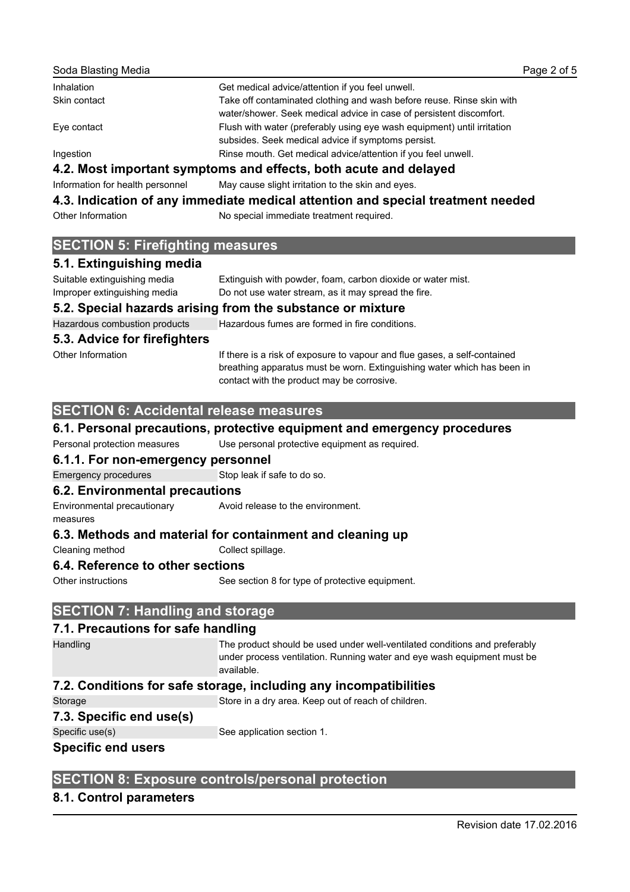| Get medical advice/attention if you feel unwell.                                                                                             |
|----------------------------------------------------------------------------------------------------------------------------------------------|
| Take off contaminated clothing and wash before reuse. Rinse skin with<br>water/shower. Seek medical advice in case of persistent discomfort. |
| Flush with water (preferably using eye wash equipment) until irritation<br>subsides. Seek medical advice if symptoms persist.                |
| Rinse mouth. Get medical advice/attention if you feel unwell.                                                                                |
|                                                                                                                                              |

## **4.2. Most important symptoms and effects, both acute and delayed**

Information for health personnel May cause slight irritation to the skin and eyes.

## **4.3. Indication of any immediate medical attention and special treatment needed**

Other Information No special immediate treatment required.

### **SECTION 5: Firefighting measures**

#### **5.1. Extinguishing media**

| 5.2. Special hazards arising from the substance or mixture |                                                             |  |
|------------------------------------------------------------|-------------------------------------------------------------|--|
| Improper extinguishing media                               | Do not use water stream, as it may spread the fire.         |  |
| Suitable extinguishing media                               | Extinguish with powder, foam, carbon dioxide or water mist. |  |
|                                                            |                                                             |  |

Hazardous combustion products Hazardous fumes are formed in fire conditions.

#### **5.3. Advice for firefighters**

Other Information **If there is a risk of exposure to vapour and flue gases, a self-contained** breathing apparatus must be worn. Extinguishing water which has been in contact with the product may be corrosive.

## **SECTION 6: Accidental release measures**

#### **6.1. Personal precautions, protective equipment and emergency procedures**

Personal protection measures Use personal protective equipment as required.

### **6.1.1. For non-emergency personnel**

Emergency procedures Stop leak if safe to do so.

#### **6.2. Environmental precautions**

Environmental precautionary measures Avoid release to the environment.

### **6.3. Methods and material for containment and cleaning up**

Cleaning method Collect spillage.

### **6.4. Reference to other sections**

Other instructions See section 8 for type of protective equipment.

## **SECTION 7: Handling and storage**

#### **7.1. Precautions for safe handling**

Handling The product should be used under well-ventilated conditions and preferably under process ventilation. Running water and eye wash equipment must be available.

## **7.2. Conditions for safe storage, including any incompatibilities**

Storage Store in a dry area. Keep out of reach of children.

#### **7.3. Specific end use(s)**

Specific use(s) Specific use(s) See application section 1.

### **Specific end users**

## **SECTION 8: Exposure controls/personal protection**

## **8.1. Control parameters**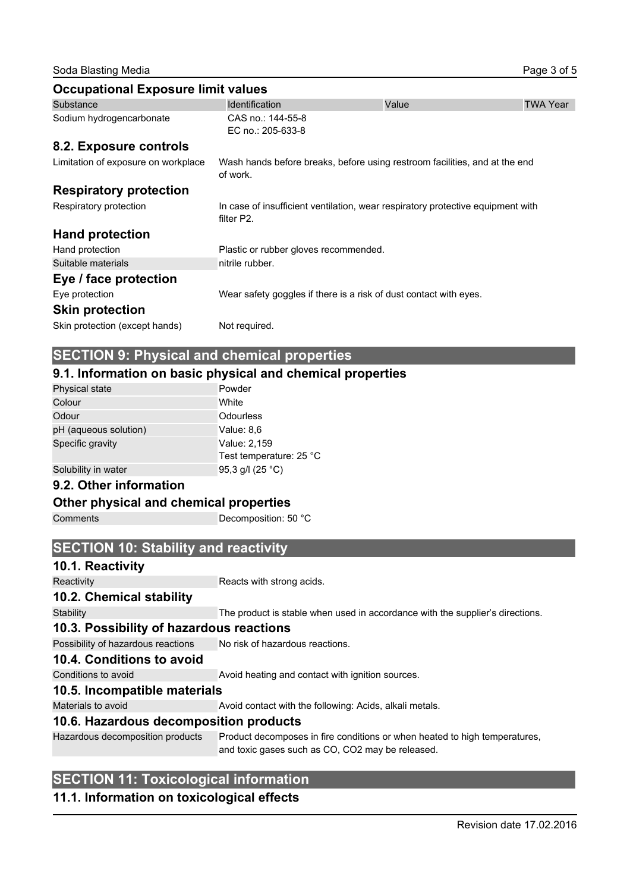Soda Blasting Media **Page 3 of 5** of 5

| <b>Occupational Exposure limit values</b> |                                                                                               |       |                 |
|-------------------------------------------|-----------------------------------------------------------------------------------------------|-------|-----------------|
| Substance                                 | <b>Identification</b>                                                                         | Value | <b>TWA Year</b> |
| Sodium hydrogencarbonate                  | CAS no.: 144-55-8<br>EC no.: 205-633-8                                                        |       |                 |
| 8.2. Exposure controls                    |                                                                                               |       |                 |
| Limitation of exposure on workplace       | Wash hands before breaks, before using restroom facilities, and at the end<br>of work.        |       |                 |
| <b>Respiratory protection</b>             |                                                                                               |       |                 |
| Respiratory protection                    | In case of insufficient ventilation, wear respiratory protective equipment with<br>filter P2. |       |                 |
| <b>Hand protection</b>                    |                                                                                               |       |                 |
| Hand protection                           | Plastic or rubber gloves recommended.                                                         |       |                 |
| Suitable materials                        | nitrile rubber.                                                                               |       |                 |
| Eye / face protection                     |                                                                                               |       |                 |
| Eye protection                            | Wear safety goggles if there is a risk of dust contact with eyes.                             |       |                 |
| <b>Skin protection</b>                    |                                                                                               |       |                 |
| Skin protection (except hands)            | Not required.                                                                                 |       |                 |

## **SECTION 9: Physical and chemical properties**

#### **9.1. Information on basic physical and chemical properties**

| Physical state        | Powder                  |
|-----------------------|-------------------------|
| Colour                | White                   |
| Odour                 | Odourless               |
| pH (aqueous solution) | Value: 8,6              |
| Specific gravity      | Value: 2,159            |
|                       | Test temperature: 25 °C |
| Solubility in water   | 95,3 g/l $(25 °C)$      |

#### **9.2. Other information**

#### **Other physical and chemical properties**

Comments Decomposition: 50 °C

**SECTION 10: Stability and reactivity**

#### **10.1. Reactivity**

Reactivity **Reactivity** Reacts with strong acids.

#### **10.2. Chemical stability**

Stability The product is stable when used in accordance with the supplier's directions.

#### **10.3. Possibility of hazardous reactions**

Possibility of hazardous reactions No risk of hazardous reactions.

#### **10.4. Conditions to avoid**

Conditions to avoid **Avoid heating and contact with ignition sources**.

#### **10.5. Incompatible materials**

Materials to avoid **Avoid Contact with the following: Acids, alkali metals.** 

## **10.6. Hazardous decomposition products**

Hazardous decomposition products Product decomposes in fire conditions or when heated to high temperatures, and toxic gases such as CO, CO2 may be released.

#### **SECTION 11: Toxicological information**

#### **11.1. Information on toxicological effects**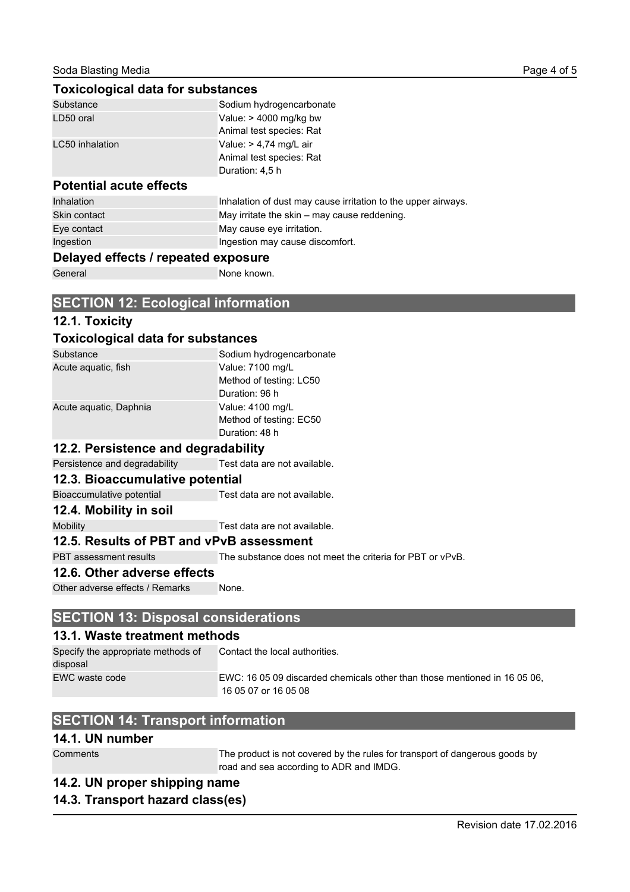#### **Toxicological data for substances**

| Substance                      | Sodium hydrogencarbonate                                      |
|--------------------------------|---------------------------------------------------------------|
| LD50 oral                      | Value: $> 4000$ mg/kg bw                                      |
|                                | Animal test species: Rat                                      |
| LC50 inhalation                | Value: $> 4,74$ mg/L air                                      |
|                                | Animal test species: Rat                                      |
|                                | Duration: 4,5 h                                               |
| <b>Potential acute effects</b> |                                                               |
| <b>Inhalation</b>              | Inhalation of dust may cause irritation to the upper airways. |
| Skin contact                   | May irritate the skin – may cause reddening.                  |
| Eye contact                    | May cause eye irritation.                                     |
| Ingestion                      | Ingestion may cause discomfort.                               |

#### **Delayed effects / repeated exposure**

General None known.

#### **SECTION 12: Ecological information**

#### **12.1. Toxicity**

#### **Toxicological data for substances**

| Substance              | Sodium hydrogencarbonate |
|------------------------|--------------------------|
| Acute aquatic, fish    | Value: 7100 mg/L         |
|                        | Method of testing: LC50  |
|                        | Duration: 96 h           |
| Acute aquatic, Daphnia | Value: 4100 mg/L         |
|                        | Method of testing: EC50  |
|                        | Duration: 48 h           |

#### **12.2. Persistence and degradability**

Persistence and degradability Test data are not available.

#### **12.3. Bioaccumulative potential**

Bioaccumulative potential Test data are not available.

#### **12.4. Mobility in soil**

Mobility Mobility Test data are not available.

#### **12.5. Results of PBT and vPvB assessment**

PBT assessment results The substance does not meet the criteria for PBT or vPvB.

#### **12.6. Other adverse effects**

Other adverse effects / Remarks None.

#### **SECTION 13: Disposal considerations**

#### **13.1. Waste treatment methods**

Specify the appropriate methods of disposal Contact the local authorities. EWC waste code EWC: 16 05 09 discarded chemicals other than those mentioned in 16 05 06, 16 05 07 or 16 05 08

### **SECTION 14: Transport information**

#### **14.1. UN number**

Comments The product is not covered by the rules for transport of dangerous goods by road and sea according to ADR and IMDG.

### **14.2. UN proper shipping name**

## **14.3. Transport hazard class(es)**